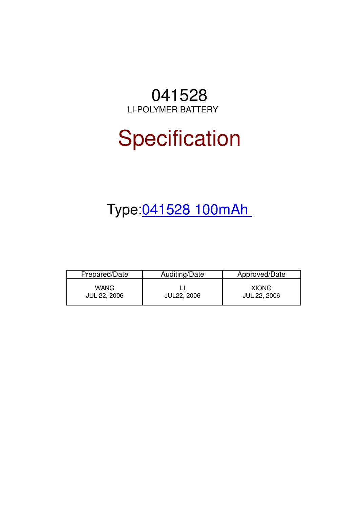# 041528 LI-POLYMER BATTERY

# **Specification**

# Type:041528 100mAh

| Prepared/Date               | Auditing/Date      | Approved/Date                       |
|-----------------------------|--------------------|-------------------------------------|
| WANG<br><b>JUL 22, 2006</b> | <b>JUL22, 2006</b> | <b>XIONG</b><br><b>JUL 22, 2006</b> |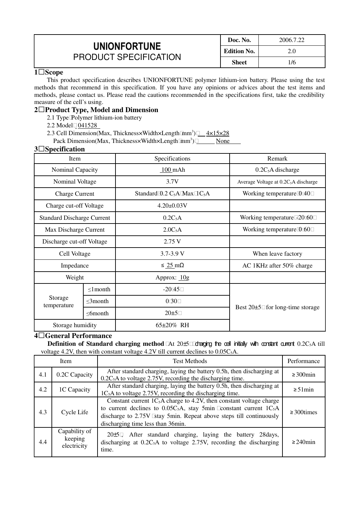|                                                     | Doc. No.           | 2006.7.22 |
|-----------------------------------------------------|--------------------|-----------|
| <b>UNIONFORTUNE</b><br><b>PRODUCT SPECIFICATION</b> | <b>Edition No.</b> | 2.0       |
|                                                     | Sheet              | $^1/6$    |

#### **1Scope**

This product specification describes UNIONFORTUNE polymer lithium-ion battery. Please using the test methods that recommend in this specification. If you have any opinions or advices about the test items and methods, please contact us. Please read the cautions recommended in the specifications first, take the credibility measure of the cell's using.

# **2Product Type, Model and Dimension**

- 2.1 Type Polymer lithium-ion battery
- 2.2 Model 041528
- 2.3 Cell Dimension(Max, Thickness×Width×Length mm<sup>3</sup>) 1x15×28

Pack Dimension(Max, Thickness×Width×Length mm<sup>3</sup>) None

#### **3Specification**

| Item                              |                | Specifications                              | Remark                                           |
|-----------------------------------|----------------|---------------------------------------------|--------------------------------------------------|
| Nominal Capacity                  |                | $100$ mAh                                   | $0.2C5A$ discharge                               |
| Nominal Voltage                   |                | 3.7V                                        | Average Voltage at 0.2C <sub>5</sub> A discharge |
| <b>Charge Current</b>             |                | Standard $0.2$ C <sub>5</sub> A Max $1C_5A$ | Working temperature 0 40                         |
| Charge cut-off Voltage            |                | $4.20 \pm 0.03 V$                           |                                                  |
| <b>Standard Discharge Current</b> |                | 0.2C <sub>5</sub> A                         | Working temperature -20 60                       |
| Max Discharge Current             |                | 2.0C <sub>5</sub> A                         | Working temperature 0 60                         |
| Discharge cut-off Voltage         |                | 2.75V                                       |                                                  |
| Cell Voltage<br>Impedance         |                | $3.7 - 3.9$ V                               | When leave factory                               |
|                                   |                | $\leq 25 \text{ mA}$                        | AC 1KHz after 50% charge                         |
| Weight                            |                | Approx: $10g$                               |                                                  |
|                                   | $\leq 1$ month | $-2045$                                     |                                                  |
| Storage<br>temperature            | $\leq$ 3month  | 0 30                                        |                                                  |
|                                   | $\leq$ 6month  | $20 \pm 5$                                  | Best $20\pm 5$ for long-time storage             |
| Storage humidity                  |                | $65\pm20\%$ RH                              |                                                  |

# **4General Performance**

**Definition of Standard charging method** At 20±5 charging the cell initially with constant current 0.2C<sub>5</sub>A till voltage 4.2V, then with constant voltage 4.2V till current declines to  $0.05C<sub>5</sub>A$ .

| <b>Test Methods</b><br><b>Item</b> |                                         | Performance                                                                                                                                                                                                                                                |                   |
|------------------------------------|-----------------------------------------|------------------------------------------------------------------------------------------------------------------------------------------------------------------------------------------------------------------------------------------------------------|-------------------|
| 4.1                                | 0.2C Capacity                           | After standard charging, laying the battery 0.5h, then discharging at<br>$0.2C5A$ to voltage 2.75V, recording the discharging time.                                                                                                                        | $\geq 300$ min    |
| 4.2                                | 1C Capacity                             | After standard charging, laying the battery 0.5h, then discharging at<br>$1C5A$ to voltage 2.75V, recording the discharging time.                                                                                                                          | $\geq 51$ min     |
| 4.3                                | Cycle Life                              | Constant current $1C_5A$ charge to 4.2V, then constant voltage charge<br>to current declines to $0.05C_5A$ , stay 5min constant current $1C_5A$<br>discharge to 2.75V stay 5min. Repeat above steps till continuously<br>discharging time less than 36min. | $\geq$ 300 times  |
| 4.4                                | Capability of<br>keeping<br>electricity | 20±5, After standard charging, laying the battery 28 days,<br>discharging at $0.2C5A$ to voltage 2.75V, recording the discharging<br>time.                                                                                                                 | $\geq$ 240 $\min$ |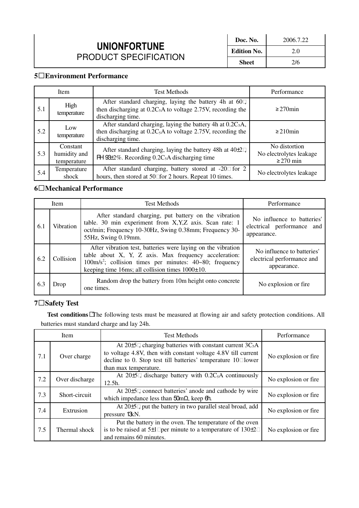| Doc. No.           | 2006.7.22 |  |
|--------------------|-----------|--|
| <b>Edition No.</b> | 2.0       |  |
| <b>Sheet</b>       | 2/6       |  |

# **5Environment Performance**

|     | Item                                    | <b>Test Methods</b>                                                                                                                                          | Performance                                                |
|-----|-----------------------------------------|--------------------------------------------------------------------------------------------------------------------------------------------------------------|------------------------------------------------------------|
| 5.1 | High<br>temperature                     | After standard charging, laying the battery 4h at 60,<br>then discharging at $0.2C_5A$ to voltage 2.75V, recording the<br>discharging time.                  | $\geq$ 270 $\min$                                          |
| 5.2 | Low<br>temperature                      | After standard charging, laying the battery 4h at 0.2C <sub>5</sub> A,<br>then discharging at $0.2C_5A$ to voltage 2.75V, recording the<br>discharging time. | $\geq$ 210 min                                             |
| 5.3 | Constant<br>humidity and<br>temperature | After standard charging, laying the battery 48h at 40±2,<br>$H \boxtimes 2\%$ . Recording 0.2C <sub>5</sub> A discharging time                               | No distortion<br>No electrolytes leakage<br>$\geq$ 270 min |
| 5.4 | Temperature<br>shock                    | After standard charging, battery stored at -20 for 2<br>hours, then stored at 50 for 2 hours. Repeat 10 times.                                               | No electrolytes leakage                                    |

# **6Mechanical Performance**

|     | Item             | <b>Test Methods</b>                                                                                                                                                                                                                                            | Performance                                                             |
|-----|------------------|----------------------------------------------------------------------------------------------------------------------------------------------------------------------------------------------------------------------------------------------------------------|-------------------------------------------------------------------------|
| 6.1 | <b>Vibration</b> | After standard charging, put battery on the vibration<br>table. 30 min experiment from X, Y, Z axis. Scan rate: 1<br>oct/min; Frequency 10-30Hz, Swing 0.38mm; Frequency 30-<br>55Hz, Swing 0.19mm.                                                            | No influence to batteries'<br>electrical performance and<br>appearance. |
| 6.2 | Collision        | After vibration test, batteries were laying on the vibration<br>table about X, Y, Z axis. Max frequency acceleration:<br>$100 \text{m/s}^2$ ; collision times per minutes: $40 \text{~}80$ ; frequency<br>keeping time 16ms; all collision times $1000\pm10$ . | No influence to batteries'<br>electrical performance and<br>appearance. |
| 6.3 | Drop             | Random drop the battery from 10m height onto concrete<br>one times.                                                                                                                                                                                            | No explosion or fire.                                                   |

# **7Safety Test**

Test conditions The following tests must be measured at flowing air and safety protection conditions. All batteries must standard charge and lay 24h.

|     | Item           | <b>Test Methods</b>                                                                                                                                                                                                     | Performance           |
|-----|----------------|-------------------------------------------------------------------------------------------------------------------------------------------------------------------------------------------------------------------------|-----------------------|
| 7.1 | Over charge    | At $20\pm$ , charging batteries with constant current $3C_5A$<br>to voltage 4.8V, then with constant voltage 4.8V till current<br>decline to 0. Stop test till batteries' temperature 10 lower<br>than max temperature. | No explosion or fire  |
| 7.2 | Over discharge | At $20\pm$ , discharge battery with $0.2C_5A$ continuously<br>$12.5h$ .                                                                                                                                                 | No explosion or fire  |
| 7.3 | Short-circuit  | At 20±5, connect batteries' anode and cathode by wire<br>which impedance less than $50 \text{m}\Omega$ , keep $6h$ .                                                                                                    | No explosion or fire. |
| 7.4 | Extrusion      | At 20±5, put the battery in two parallel steal broad, add<br>pressure 13 kN.                                                                                                                                            | No explosion or fire  |
| 7.5 | Thermal shock  | Put the battery in the oven. The temperature of the oven<br>is to be raised at $5\pm 1$ per minute to a temperature of $130\pm 2$<br>and remains 60 minutes.                                                            | No explosion or fire. |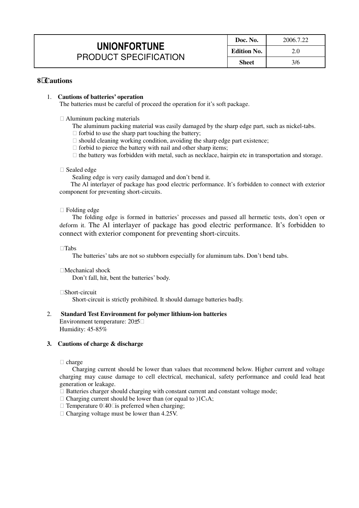|                                                     | Doc. No.     | 2006.7.22 |
|-----------------------------------------------------|--------------|-----------|
| <b>UNIONFORTUNE</b><br><b>PRODUCT SPECIFICATION</b> | Edition No.  | 2.0       |
|                                                     | <b>Sheet</b> | 3/6       |

## **8Cautions**

#### 1. **Cautions of batteries' operation**

The batteries must be careful of proceed the operation for it's soft package.

Aluminum packing materials

- The aluminum packing material was easily damaged by the sharp edge part, such as nickel-tabs. forbid to use the sharp part touching the battery;
	- should cleaning working condition, avoiding the sharp edge part existence;
	- forbid to pierce the battery with nail and other sharp items;
	- the battery was forbidden with metal, such as necklace, hairpin etc in transportation and storage.

#### Sealed edge

Sealing edge is very easily damaged and don't bend it.

The Al interlayer of package has good electric performance. It's forbidden to connect with exterior component for preventing short-circuits.

#### Folding edge

The folding edge is formed in batteries' processes and passed all hermetic tests, don't open or deform it. The Al interlayer of package has good electric performance. It's forbidden to connect with exterior component for preventing short-circuits.

-Tabs

The batteries' tabs are not so stubborn especially for aluminum tabs. Don't bend tabs.

Mechanical shock Don't fall, hit, bent the batteries' body.

Short-circuit

Short-circuit is strictly prohibited. It should damage batteries badly.

#### 2. **Standard Test Environment for polymer lithium-ion batteries**

Environment temperature: 20±5 Humidity: 45-85%

#### **3. Cautions of charge & discharge**

charge

Charging current should be lower than values that recommend below. Higher current and voltage charging may cause damage to cell electrical, mechanical, safety performance and could lead heat generation or leakage.

Batteries charger should charging with constant current and constant voltage mode;

Charging current should be lower than (or equal to  $)1C_5A$ ;

Temperature 040 is preferred when charging;

Charging voltage must be lower than 4.25V.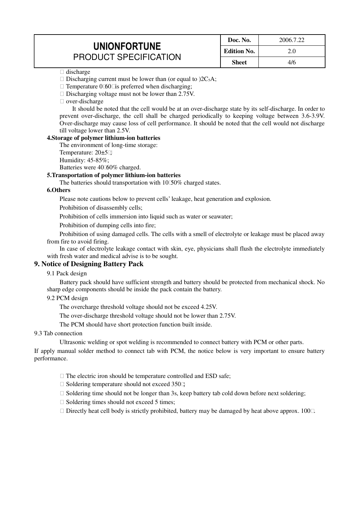|                              | Doc. No.           | 2006.7.22 |
|------------------------------|--------------------|-----------|
| <b>UNIONFORTUNE</b>          | <b>Edition No.</b> |           |
| <b>PRODUCT SPECIFICATION</b> | Sheet              | 4/6       |

#### discharge

Discharging current must be lower than (or equal to  $2C_5A$ ;

Temperature  $0\,60$  is preferred when discharging;

Discharging voltage must not be lower than 2.75V.

over-discharge

It should be noted that the cell would be at an over-discharge state by its self-discharge. In order to prevent over-discharge, the cell shall be charged periodically to keeping voltage between 3.6-3.9V. Over-discharge may cause loss of cell performance. It should be noted that the cell would not discharge till voltage lower than 2.5V.

#### **4.Storage of polymer lithium-ion batteries**

The environment of long-time storage: Temperature:  $20\pm 5$ ; Humidity: 45-85%;

Batteries were 40 60% charged.

#### **5.Transportation of polymer lithium-ion batteries**

The batteries should transportation with 10 50% charged states.

#### **6.Others**

Please note cautions below to prevent cells' leakage, heat generation and explosion.

Prohibition of disassembly cells;

Prohibition of cells immersion into liquid such as water or seawater;

Prohibition of dumping cells into fire;

Prohibition of using damaged cells. The cells with a smell of electrolyte or leakage must be placed away from fire to avoid firing.

In case of electrolyte leakage contact with skin, eye, physicians shall flush the electrolyte immediately with fresh water and medical advise is to be sought.

# **9. Notice of Designing Battery Pack**

### 9.1 Pack design

Battery pack should have sufficient strength and battery should be protected from mechanical shock. No sharp edge components should be inside the pack contain the battery.

#### 9.2 PCM design

The overcharge threshold voltage should not be exceed 4.25V.

The over-discharge threshold voltage should not be lower than 2.75V.

The PCM should have short protection function built inside.

#### 9.3 Tab connection

Ultrasonic welding or spot welding is recommended to connect battery with PCM or other parts.

If apply manual solder method to connect tab with PCM, the notice below is very important to ensure battery performance.

The electric iron should be temperature controlled and ESD safe;

Soldering temperature should not exceed 350;

Soldering time should not be longer than 3s, keep battery tab cold down before next soldering;

Soldering times should not exceed 5 times;

Directly heat cell body is strictly prohibited, battery may be damaged by heat above approx. 100.